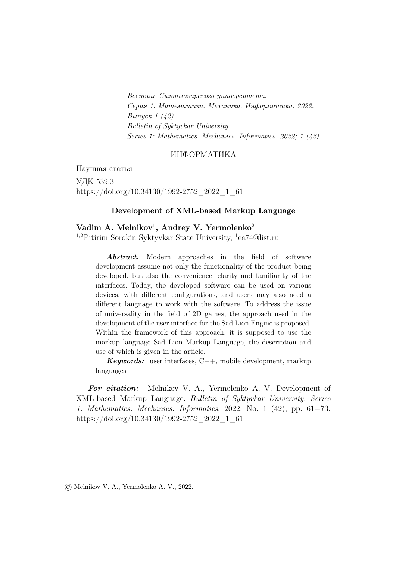Вестник Сыктывкарского университета. Серия 1: Математика. Механика. Информатика. 2022.  $B_{\text{blnyCK}}$  1 (42) Bulletin of Syktyvkar University. Series 1: Mathematics. Mechanics. Informatics. 2022; 1 (42)

### ИНФОРМАТИКА

Научная статья УДК 539.3 https://doi.org/10.34130/1992-2752\_2022\_1\_61

#### Development of XML-based Markup Language

Vadim A. Melnikov<sup>1</sup>, Andrey V. Yermolenko<sup>2</sup> <sup>1,2</sup>Pitirim Sorokin Syktyvkar State University, <sup>1</sup>ea74@list.ru

Abstract. Modern approaches in the field of software development assume not only the functionality of the product being developed, but also the convenience, clarity and familiarity of the interfaces. Today, the developed software can be used on various devices, with different configurations, and users may also need a different language to work with the software. To address the issue of universality in the field of 2D games, the approach used in the development of the user interface for the Sad Lion Engine is proposed. Within the framework of this approach, it is supposed to use the markup language Sad Lion Markup Language, the description and use of which is given in the article.

**Keywords:** user interfaces,  $C++$ , mobile development, markup languages

For citation: Melnikov V. A., Yermolenko A. V. Development of XML-based Markup Language. Bulletin of Syktyvkar University, Series 1: Mathematics. Mechanics. Informatics, 2022, No. 1 (42), pp. 61−73. https://doi.org/10.34130/1992-2752\_2022\_1\_61

© Melnikov V. A., Yermolenko A. V., 2022.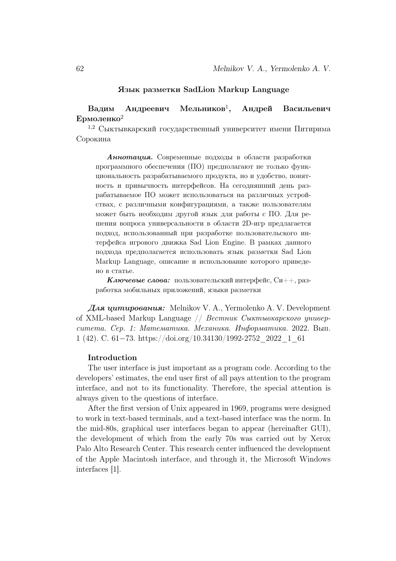#### Язык разметки SadLion Markup Language

#### Вадим Андреевич Мельников<sup>1</sup>, , Андрей Васильевич Ермоленко<sup>2</sup>

<sup>1,2</sup> Сыктывкарский государственный университет имени Питирима Сорокина

Аннотация. Современные подходы в области разработки программного обеспечения (ПО) предполагают не только функциональность разрабатываемого продукта, но и удобство, понятность и привычность интерфейсов. На сегодняшний день разрабатываемое ПО может использоваться на различных устройствах, с различными конфигурациями, а также пользователям может быть необходим другой язык для работы с ПО. Для решения вопроса универсальности в области 2D-игр предлагается подход, использованный при разработке пользовательского интерфейса игрового движка Sad Lion Engine. В рамках данного подхода предполагается использовать язык разметки Sad Lion Markup Language, описание и использование которого приведено в статье.

**Ключевые слова:** пользовательский интерфейс,  $Cu++$ , разработка мобильных приложений, языки разметки

Для цитирования: Melnikov V. A., Yermolenko A. V. Development of XML-based Markup Language // Вестник Сыктывкарского университета. Сер. 1: Математика. Механика. Информатика. 2022. Вып. 1 (42). C. 61−73. https://doi.org/10.34130/1992-2752\_2022\_1\_61

#### Introduction

The user interface is just important as a program code. According to the developers' estimates, the end user first of all pays attention to the program interface, and not to its functionality. Therefore, the special attention is always given to the questions of interface.

After the first version of Unix appeared in 1969, programs were designed to work in text-based terminals, and a text-based interface was the norm. In the mid-80s, graphical user interfaces began to appear (hereinafter GUI), the development of which from the early 70s was carried out by Xerox Palo Alto Research Center. This research center influenced the development of the Apple Macintosh interface, and through it, the Microsoft Windows interfaces [1].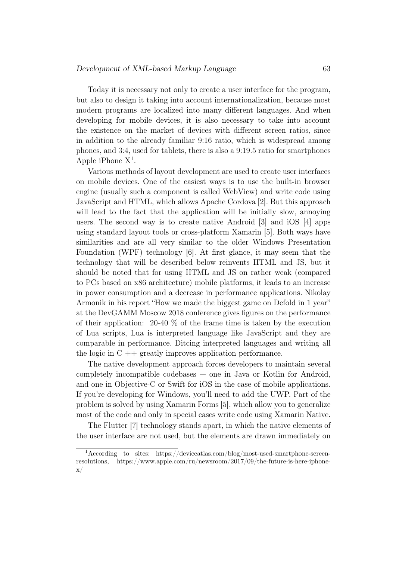Today it is necessary not only to create a user interface for the program, but also to design it taking into account internationalization, because most modern programs are localized into many different languages. And when developing for mobile devices, it is also necessary to take into account the existence on the market of devices with different screen ratios, since in addition to the already familiar 9:16 ratio, which is widespread among phones, and 3:4, used for tablets, there is also a 9:19.5 ratio for smartphones Apple iPhone  $X^1$ .

Various methods of layout development are used to create user interfaces on mobile devices. One of the easiest ways is to use the built-in browser engine (usually such a component is called WebView) and write code using JavaScript and HTML, which allows Apache Cordova [2]. But this approach will lead to the fact that the application will be initially slow, annoying users. The second way is to create native Android [3] and iOS [4] apps using standard layout tools or cross-platform Xamarin [5]. Both ways have similarities and are all very similar to the older Windows Presentation Foundation (WPF) technology [6]. At first glance, it may seem that the technology that will be described below reinvents HTML and JS, but it should be noted that for using HTML and JS on rather weak (compared to PCs based on x86 architecture) mobile platforms, it leads to an increase in power consumption and a decrease in performance applications. Nikolay Armonik in his report "How we made the biggest game on Defold in 1 year" at the DevGAMM Moscow 2018 conference gives figures on the performance of their application:  $20-40\%$  of the frame time is taken by the execution of Lua scripts, Lua is interpreted language like JavaScript and they are comparable in performance. Ditcing interpreted languages and writing all the logic in  $C + \frac{1}{2}$  greatly improves application performance.

The native development approach forces developers to maintain several completely incompatible codebases — one in Java or Kotlin for Android, and one in Objective-C or Swift for iOS in the case of mobile applications. If you're developing for Windows, you'll need to add the UWP. Part of the problem is solved by using Xamarin Forms [5], which allow you to generalize most of the code and only in special cases write code using Xamarin Native.

The Flutter [7] technology stands apart, in which the native elements of the user interface are not used, but the elements are drawn immediately on

<sup>1</sup>According to sites: https://deviceatlas.com/blog/most-used-smartphone-screenresolutions, https://www.apple.com/ru/newsroom/2017/09/the-future-is-here-iphone- $\mathbf{x}/$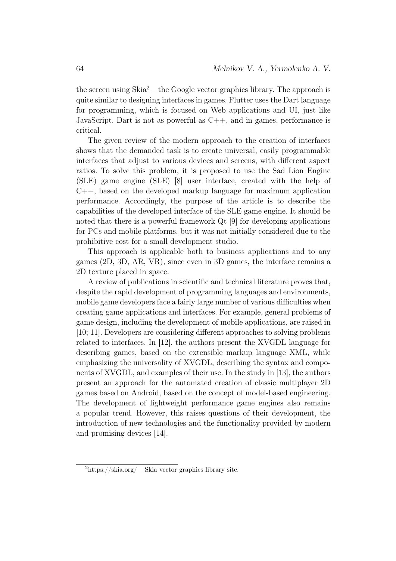the screen using  $\text{Skia}^2$  – the Google vector graphics library. The approach is quite similar to designing interfaces in games. Flutter uses the Dart language for programming, which is focused on Web applications and UI, just like JavaScript. Dart is not as powerful as  $C_{++}$ , and in games, performance is critical.

The given review of the modern approach to the creation of interfaces shows that the demanded task is to create universal, easily programmable interfaces that adjust to various devices and screens, with different aspect ratios. To solve this problem, it is proposed to use the Sad Lion Engine (SLE) game engine (SLE) [8] user interface, created with the help of  $C_{++}$ , based on the developed markup language for maximum application performance. Accordingly, the purpose of the article is to describe the capabilities of the developed interface of the SLE game engine. It should be noted that there is a powerful framework Qt [9] for developing applications for PCs and mobile platforms, but it was not initially considered due to the prohibitive cost for a small development studio.

This approach is applicable both to business applications and to any games (2D, 3D, AR, VR), since even in 3D games, the interface remains a 2D texture placed in space.

A review of publications in scientific and technical literature proves that, despite the rapid development of programming languages and environments, mobile game developers face a fairly large number of various difficulties when creating game applications and interfaces. For example, general problems of game design, including the development of mobile applications, are raised in [10; 11]. Developers are considering different approaches to solving problems related to interfaces. In [12], the authors present the XVGDL language for describing games, based on the extensible markup language XML, while emphasizing the universality of XVGDL, describing the syntax and components of XVGDL, and examples of their use. In the study in [13], the authors present an approach for the automated creation of classic multiplayer 2D games based on Android, based on the concept of model-based engineering. The development of lightweight performance game engines also remains a popular trend. However, this raises questions of their development, the introduction of new technologies and the functionality provided by modern and promising devices [14].

 $^{2}$ https://skia.org/ – Skia vector graphics library site.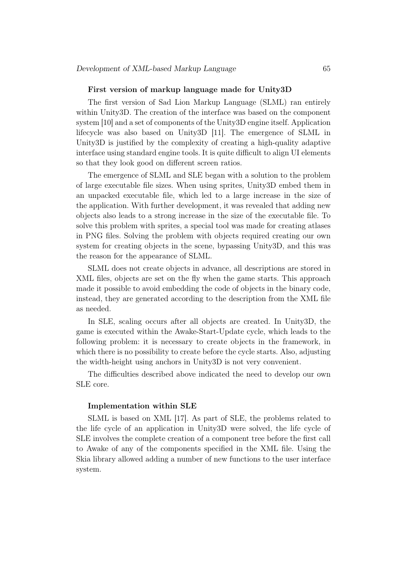#### First version of markup language made for Unity3D

The first version of Sad Lion Markup Language (SLML) ran entirely within Unity3D. The creation of the interface was based on the component system [10] and a set of components of the Unity3D engine itself. Application lifecycle was also based on Unity3D [11]. The emergence of SLML in Unity3D is justified by the complexity of creating a high-quality adaptive interface using standard engine tools. It is quite difficult to align UI elements so that they look good on different screen ratios.

The emergence of SLML and SLE began with a solution to the problem of large executable file sizes. When using sprites, Unity3D embed them in an unpacked executable file, which led to a large increase in the size of the application. With further development, it was revealed that adding new objects also leads to a strong increase in the size of the executable file. To solve this problem with sprites, a special tool was made for creating atlases in PNG files. Solving the problem with objects required creating our own system for creating objects in the scene, bypassing Unity3D, and this was the reason for the appearance of SLML.

SLML does not create objects in advance, all descriptions are stored in XML files, objects are set on the fly when the game starts. This approach made it possible to avoid embedding the code of objects in the binary code, instead, they are generated according to the description from the XML file as needed.

In SLE, scaling occurs after all objects are created. In Unity3D, the game is executed within the Awake-Start-Update cycle, which leads to the following problem: it is necessary to create objects in the framework, in which there is no possibility to create before the cycle starts. Also, adjusting the width-height using anchors in Unity3D is not very convenient.

The difficulties described above indicated the need to develop our own SLE core.

#### Implementation within SLE

SLML is based on XML [17]. As part of SLE, the problems related to the life cycle of an application in Unity3D were solved, the life cycle of SLE involves the complete creation of a component tree before the first call to Awake of any of the components specified in the XML file. Using the Skia library allowed adding a number of new functions to the user interface system.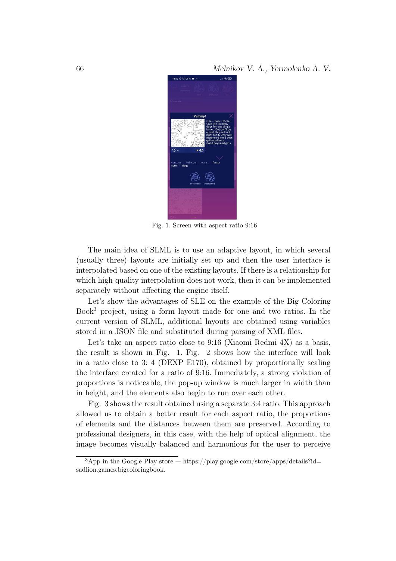66 Melnikov V. A., Yermolenko A. V.



Fig. 1. Screen with aspect ratio 9:16

The main idea of SLML is to use an adaptive layout, in which several (usually three) layouts are initially set up and then the user interface is interpolated based on one of the existing layouts. If there is a relationship for which high-quality interpolation does not work, then it can be implemented separately without affecting the engine itself.

Let's show the advantages of SLE on the example of the Big Coloring Book<sup>3</sup> project, using a form layout made for one and two ratios. In the current version of SLML, additional layouts are obtained using variables stored in a JSON file and substituted during parsing of XML files.

Let's take an aspect ratio close to 9:16 (Xiaomi Redmi 4X) as a basis, the result is shown in Fig. 1. Fig. 2 shows how the interface will look in a ratio close to 3: 4 (DEXP E170), obtained by proportionally scaling the interface created for a ratio of 9:16. Immediately, a strong violation of proportions is noticeable, the pop-up window is much larger in width than in height, and the elements also begin to run over each other.

Fig. 3 shows the result obtained using a separate 3:4 ratio. This approach allowed us to obtain a better result for each aspect ratio, the proportions of elements and the distances between them are preserved. According to professional designers, in this case, with the help of optical alignment, the image becomes visually balanced and harmonious for the user to perceive

 $3$ App in the Google Play store — https://play.google.com/store/apps/details?id= sadlion.games.bigcoloringbook.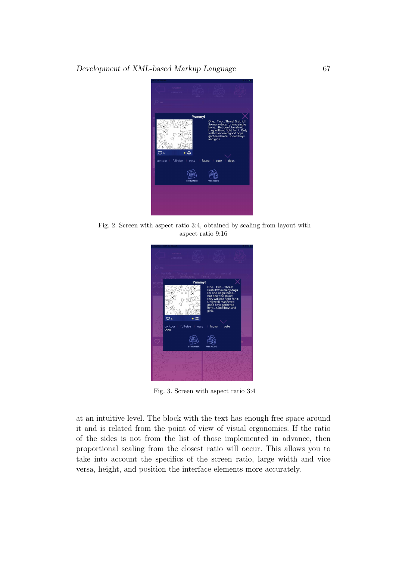Development of XML-based Markup Language 67



Fig. 2. Screen with aspect ratio 3:4, obtained by scaling from layout with aspect ratio 9:16



Fig. 3. Screen with aspect ratio 3:4

at an intuitive level. The block with the text has enough free space around it and is related from the point of view of visual ergonomics. If the ratio of the sides is not from the list of those implemented in advance, then proportional scaling from the closest ratio will occur. This allows you to take into account the specifics of the screen ratio, large width and vice versa, height, and position the interface elements more accurately.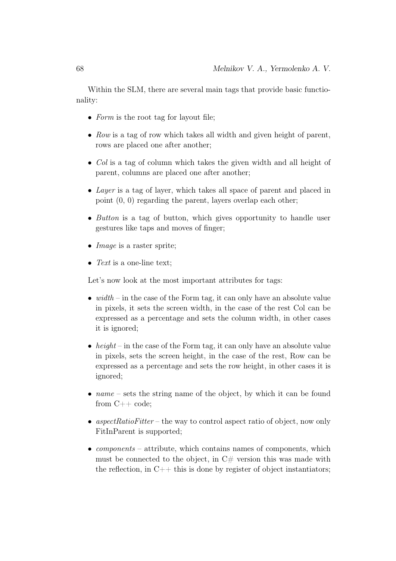Within the SLM, there are several main tags that provide basic functionality:

- Form is the root tag for layout file;
- Row is a tag of row which takes all width and given height of parent, rows are placed one after another;
- Col is a tag of column which takes the given width and all height of parent, columns are placed one after another;
- Layer is a tag of layer, which takes all space of parent and placed in point (0, 0) regarding the parent, layers overlap each other;
- Button is a tag of button, which gives opportunity to handle user gestures like taps and moves of finger;
- *Image* is a raster sprite:
- Text is a one-line text;

Let's now look at the most important attributes for tags:

- width in the case of the Form tag, it can only have an absolute value in pixels, it sets the screen width, in the case of the rest Col can be expressed as a percentage and sets the column width, in other cases it is ignored;
- height in the case of the Form tag, it can only have an absolute value in pixels, sets the screen height, in the case of the rest, Row can be expressed as a percentage and sets the row height, in other cases it is ignored;
- $name sets$  the string name of the object, by which it can be found from C++ code;
- aspectRatioFitter the way to control aspect ratio of object, now only FitInParent is supported;
- *components* attribute, which contains names of components, which must be connected to the object, in  $C#$  version this was made with the reflection, in  $C++$  this is done by register of object instantiators;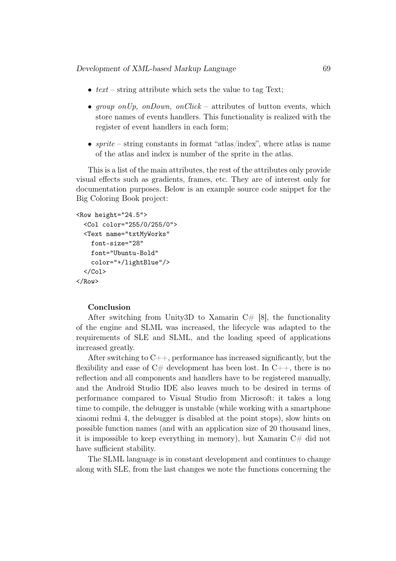- $text string attribute which sets the value to tag Text;$
- group on Up, on Down, on Click attributes of button events, which store names of events handlers. This functionality is realized with the register of event handlers in each form;
- sprite string constants in format "atlas/index", where atlas is name of the atlas and index is number of the sprite in the atlas.

This is a list of the main attributes, the rest of the attributes only provide visual effects such as gradients, frames, etc. They are of interest only for documentation purposes. Below is an example source code snippet for the Big Coloring Book project:

```
<Row height="24.5">
 <Col color="255/0/255/0">
 <Text name="txtMyWorks"
    font-size="28"
    font="Ubuntu-Bold"
    color="+/lightBlue"/>
 </Col>
</Row>
```
#### Conclusion

After switching from Unity3D to Xamarin  $C \# [8]$ , the functionality of the engine and SLML was increased, the lifecycle was adapted to the requirements of SLE and SLML, and the loading speed of applications increased greatly.

After switching to  $C_{++}$ , performance has increased significantly, but the flexibility and ease of  $C#$  development has been lost. In  $C++$ , there is no reflection and all components and handlers have to be registered manually, and the Android Studio IDE also leaves much to be desired in terms of performance compared to Visual Studio from Microsoft: it takes a long time to compile, the debugger is unstable (while working with a smartphone xiaomi redmi 4, the debugger is disabled at the point stops), slow hints on possible function names (and with an application size of 20 thousand lines, it is impossible to keep everything in memory), but Xamarin  $C#$  did not have sufficient stability.

The SLML language is in constant development and continues to change along with SLE, from the last changes we note the functions concerning the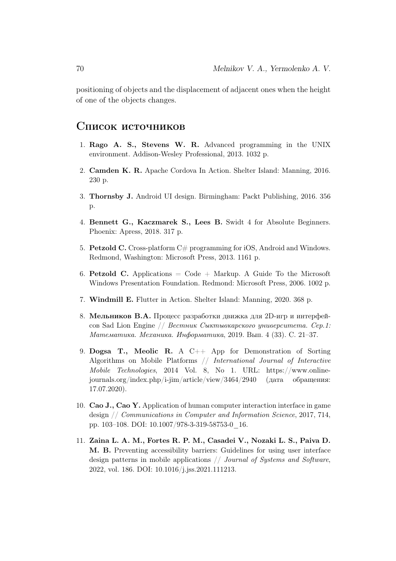positioning of objects and the displacement of adjacent ones when the height of one of the objects changes.

## Список источников

- 1. Rago A. S., Stevens W. R. Advanced programming in the UNIX environment. Addison-Wesley Professional, 2013. 1032 p.
- 2. Camden K. R. Apache Cordova In Action. Shelter Island: Manning, 2016. 230 p.
- 3. Thornsby J. Android UI design. Birmingham: Packt Publishing, 2016. 356 p.
- 4. Bennett G., Kaczmarek S., Lees B. Swidt 4 for Absolute Beginners. Phoenix: Apress, 2018. 317 p.
- 5. Petzold C. Cross-platform  $C\#$  programming for iOS, Android and Windows. Redmond, Washington: Microsoft Press, 2013. 1161 p.
- 6. Petzold C. Applications  $=$  Code  $+$  Markup. A Guide To the Microsoft Windows Presentation Foundation. Redmond: Microsoft Press, 2006. 1002 p.
- 7. Windmill E. Flutter in Action. Shelter Island: Manning, 2020. 368 p.
- 8. Мельников В.А. Процесс разработки движка для 2D-игр и интерфейсов Sad Lion Engine // Вестник Сыктывкарского университета. Сер.1: Математика. Механика. Информатика, 2019. Вып. 4 (33). C. 21–37.
- 9. Dogsa T., Meolic R. A C++ App for Demonstration of Sorting Algorithms on Mobile Platforms // International Journal of Interactive Mobile Technologies, 2014 Vol. 8, No 1. URL: https://www.onlinejournals.org/index.php/i-jim/article/view/3464/2940 (дата обращения: 17.07.2020).
- 10. Cao J., Cao Y. Application of human computer interaction interface in game design // Communications in Computer and Information Science, 2017, 714, pp. 103–108. DOI: 10.1007/978-3-319-58753-0\_16.
- 11. Zaina L. A. M., Fortes R. P. M., Casadei V., Nozaki L. S., Paiva D. M. B. Preventing accessibility barriers: Guidelines for using user interface design patterns in mobile applications // Journal of Systems and Software, 2022, vol. 186. DOI: 10.1016/j.jss.2021.111213.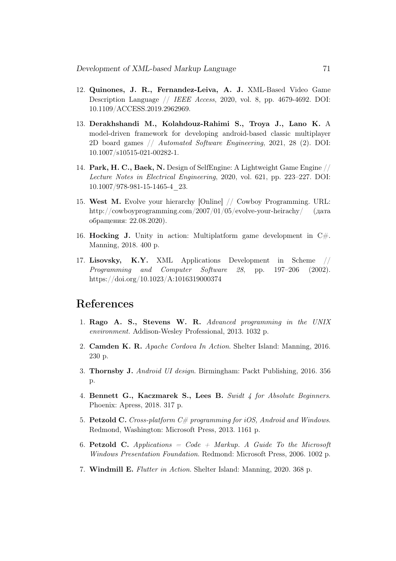- 12. Quinones, J. R., Fernandez-Leiva, A. J. XML-Based Video Game Description Language // IEEE Access, 2020, vol. 8, pp. 4679-4692. DOI: 10.1109/ACCESS.2019.2962969.
- 13. Derakhshandi M., Kolahdouz-Rahimi S., Troya J., Lano K. A model-driven framework for developing android-based classic multiplayer 2D board games // Automated Software Engineering, 2021, 28 (2). DOI: 10.1007/s10515-021-00282-1.
- 14. Park, H. C., Baek, N. Design of SelfEngine: A Lightweight Game Engine // Lecture Notes in Electrical Engineering, 2020, vol. 621, pp. 223–227. DOI: 10.1007/978-981-15-1465-4\_23.
- 15. West M. Evolve your hierarchy [Online] // Cowboy Programming. URL: http://cowboyprogramming.com/2007/01/05/evolve-your-heirachy/ (дата обращения: 22.08.2020).
- 16. Hocking J. Unity in action: Multiplatform game development in  $C\#$ . Manning, 2018. 400 p.
- 17. Lisovsky, K.Y. XML Applications Development in Scheme // Programming and Computer Software 28, pp. 197–206 (2002). https://doi.org/10.1023/A:1016319000374

# References

- 1. Rago A. S., Stevens W. R. Advanced programming in the UNIX environment. Addison-Wesley Professional, 2013. 1032 p.
- 2. Camden K. R. Apache Cordova In Action. Shelter Island: Manning, 2016. 230 p.
- 3. Thornsby J. Android UI design. Birmingham: Packt Publishing, 2016. 356 p.
- 4. Bennett G., Kaczmarek S., Lees B. Swidt 4 for Absolute Beginners. Phoenix: Apress, 2018. 317 p.
- 5. Petzold C. Cross-platform  $C \neq p$  programming for iOS, Android and Windows. Redmond, Washington: Microsoft Press, 2013. 1161 p.
- 6. Petzold C. Applications  $= Code + Markup$ . A Guide To the Microsoft Windows Presentation Foundation. Redmond: Microsoft Press, 2006. 1002 p.
- 7. Windmill E. Flutter in Action. Shelter Island: Manning, 2020. 368 p.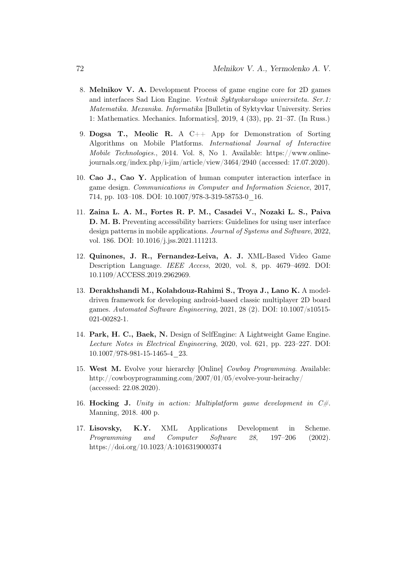- 8. Melnikov V. A. Development Process of game engine core for 2D games and interfaces Sad Lion Engine. Vestnik Syktyvkarskogo universiteta. Ser.1: Matematika. Mexanika. Informatika [Bulletin of Syktyvkar University. Series 1: Mathematics. Mechanics. Informatics], 2019, 4 (33), pp. 21–37. (In Russ.)
- 9. Dogsa T., Meolic R. A C++ App for Demonstration of Sorting Algorithms on Mobile Platforms. International Journal of Interactive Mobile Technologies., 2014. Vol. 8, No 1. Available: https://www.onlinejournals.org/index.php/i-jim/article/view/3464/2940 (accessed: 17.07.2020).
- 10. Cao J., Cao Y. Application of human computer interaction interface in game design. Communications in Computer and Information Science, 2017, 714, pp. 103–108. DOI: 10.1007/978-3-319-58753-0\_16.
- 11. Zaina L. A. M., Fortes R. P. M., Casadei V., Nozaki L. S., Paiva D. M. B. Preventing accessibility barriers: Guidelines for using user interface design patterns in mobile applications. Journal of Systems and Software, 2022, vol. 186. DOI: 10.1016/j.jss.2021.111213.
- 12. Quinones, J. R., Fernandez-Leiva, A. J. XML-Based Video Game Description Language. IEEE Access, 2020, vol. 8, pp. 4679–4692. DOI: 10.1109/ACCESS.2019.2962969.
- 13. Derakhshandi M., Kolahdouz-Rahimi S., Troya J., Lano K. A modeldriven framework for developing android-based classic multiplayer 2D board games. Automated Software Engineering, 2021, 28 (2). DOI: 10.1007/s10515- 021-00282-1.
- 14. Park, H. C., Baek, N. Design of SelfEngine: A Lightweight Game Engine. Lecture Notes in Electrical Engineering, 2020, vol. 621, pp. 223–227. DOI: 10.1007/978-981-15-1465-4\_23.
- 15. West M. Evolve your hierarchy [Online] Cowboy Programming. Available: http://cowboyprogramming.com/2007/01/05/evolve-your-heirachy/ (accessed: 22.08.2020).
- 16. Hocking J. Unity in action: Multiplatform game development in  $C\#$ . Manning, 2018. 400 p.
- 17. Lisovsky, K.Y. XML Applications Development in Scheme. Programming and Computer Software 28, 197–206 (2002). https://doi.org/10.1023/A:1016319000374